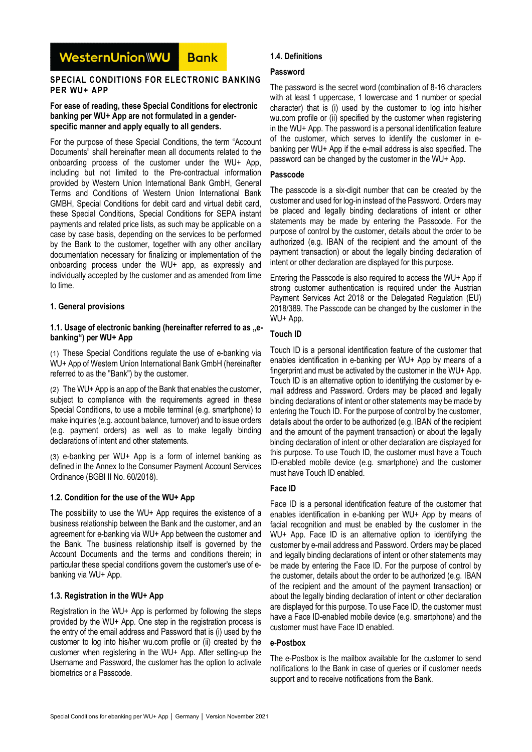#### WesternUnion\\WU **Bank**

#### **SPECIAL CONDITIONS FOR ELECTRONIC BANKING PER WU+ APP**

#### **For ease of reading, these Special Conditions for electronic banking per WU+ App are not formulated in a genderspecific manner and apply equally to all genders.**

For the purpose of these Special Conditions, the term "Account Documents" shall hereinafter mean all documents related to the onboarding process of the customer under the WU+ App, including but not limited to the Pre-contractual information provided by Western Union International Bank GmbH, General Terms and Conditions of Western Union International Bank GMBH, Special Conditions for debit card and virtual debit card, these Special Conditions, Special Conditions for SEPA instant payments and related price lists, as such may be applicable on a case by case basis, depending on the services to be performed by the Bank to the customer, together with any other ancillary documentation necessary for finalizing or implementation of the onboarding process under the WU+ app, as expressly and individually accepted by the customer and as amended from time to time.

## **1. General provisions**

#### 1.1. Usage of electronic banking (hereinafter referred to as "e**banking") per WU+ App**

(1) These Special Conditions regulate the use of e-banking via WU+ App of Western Union International Bank GmbH (hereinafter referred to as the "Bank") by the customer.

(2) The WU+ App is an app of the Bank that enables the customer, subject to compliance with the requirements agreed in these Special Conditions, to use a mobile terminal (e.g. smartphone) to make inquiries (e.g. account balance, turnover) and to issue orders (e.g. payment orders) as well as to make legally binding declarations of intent and other statements.

(3) e-banking per WU+ App is a form of internet banking as defined in the Annex to the Consumer Payment Account Services Ordinance (BGBl II No. 60/2018).

# **1.2. Condition for the use of the WU+ App**

The possibility to use the WU+ App requires the existence of a business relationship between the Bank and the customer, and an agreement for e-banking via WU+ App between the customer and the Bank. The business relationship itself is governed by the Account Documents and the terms and conditions therein; in particular these special conditions govern the customer's use of ebanking via WU+ App.

### **1.3. Registration in the WU+ App**

Registration in the WU+ App is performed by following the steps provided by the WU+ App. One step in the registration process is the entry of the email address and Password that is (i) used by the customer to log into his/her wu.com profile or (ii) created by the customer when registering in the WU+ App. After setting-up the Username and Password, the customer has the option to activate biometrics or a Passcode.

# **1.4. Definitions**

### **Password**

The password is the secret word (combination of 8-16 characters with at least 1 uppercase, 1 lowercase and 1 number or special character) that is (i) used by the customer to log into his/her wu.com profile or (ii) specified by the customer when registering in the WU+ App. The password is a personal identification feature of the customer, which serves to identify the customer in ebanking per WU+ App if the e-mail address is also specified. The password can be changed by the customer in the WU+ App.

### **Passcode**

The passcode is a six-digit number that can be created by the customer and used for log-in instead of the Password. Orders may be placed and legally binding declarations of intent or other statements may be made by entering the Passcode. For the purpose of control by the customer, details about the order to be authorized (e.g. IBAN of the recipient and the amount of the payment transaction) or about the legally binding declaration of intent or other declaration are displayed for this purpose.

Entering the Passcode is also required to access the WU+ App if strong customer authentication is required under the Austrian Payment Services Act 2018 or the Delegated Regulation (EU) 2018/389. The Passcode can be changed by the customer in the WU+ App.

# **Touch ID**

Touch ID is a personal identification feature of the customer that enables identification in e-banking per WU+ App by means of a fingerprint and must be activated by the customer in the WU+ App. Touch ID is an alternative option to identifying the customer by email address and Password. Orders may be placed and legally binding declarations of intent or other statements may be made by entering the Touch ID. For the purpose of control by the customer, details about the order to be authorized (e.g. IBAN of the recipient and the amount of the payment transaction) or about the legally binding declaration of intent or other declaration are displayed for this purpose. To use Touch ID, the customer must have a Touch ID-enabled mobile device (e.g. smartphone) and the customer must have Touch ID enabled.

# **Face ID**

Face ID is a personal identification feature of the customer that enables identification in e-banking per WU+ App by means of facial recognition and must be enabled by the customer in the WU+ App. Face ID is an alternative option to identifying the customer by e-mail address and Password. Orders may be placed and legally binding declarations of intent or other statements may be made by entering the Face ID. For the purpose of control by the customer, details about the order to be authorized (e.g. IBAN of the recipient and the amount of the payment transaction) or about the legally binding declaration of intent or other declaration are displayed for this purpose. To use Face ID, the customer must have a Face ID-enabled mobile device (e.g. smartphone) and the customer must have Face ID enabled.

## **e-Postbox**

The e-Postbox is the mailbox available for the customer to send notifications to the Bank in case of queries or if customer needs support and to receive notifications from the Bank.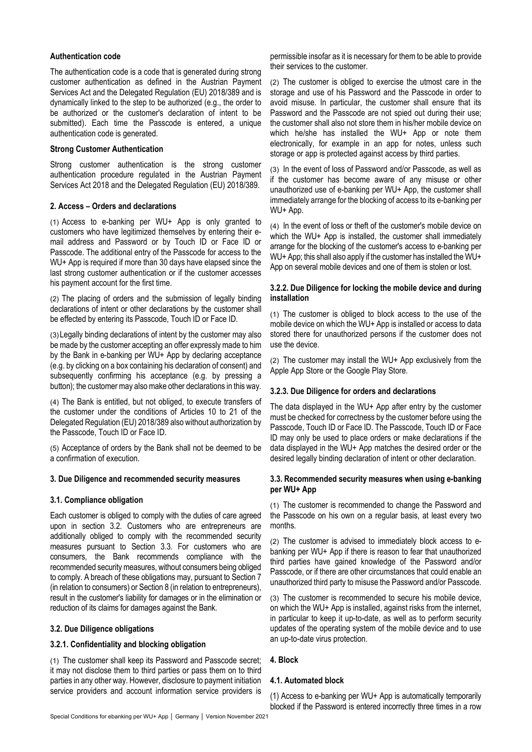### **Authentication code**

The authentication code is a code that is generated during strong customer authentication as defined in the Austrian Payment Services Act and the Delegated Regulation (EU) 2018/389 and is dynamically linked to the step to be authorized (e.g., the order to be authorized or the customer's declaration of intent to be submitted). Each time the Passcode is entered, a unique authentication code is generated.

### **Strong Customer Authentication**

Strong customer authentication is the strong customer authentication procedure regulated in the Austrian Payment Services Act 2018 and the Delegated Regulation (EU) 2018/389.

### **2. Access – Orders and declarations**

(1) Access to e-banking per WU+ App is only granted to customers who have legitimized themselves by entering their email address and Password or by Touch ID or Face ID or Passcode. The additional entry of the Passcode for access to the WU+ App is required if more than 30 days have elapsed since the last strong customer authentication or if the customer accesses his payment account for the first time.

(2) The placing of orders and the submission of legally binding declarations of intent or other declarations by the customer shall be effected by entering its Passcode, Touch ID or Face ID.

(3) Legally binding declarations of intent by the customer may also be made by the customer accepting an offer expressly made to him by the Bank in e-banking per WU+ App by declaring acceptance (e.g. by clicking on a box containing his declaration of consent) and subsequently confirming his acceptance (e.g. by pressing a button); the customer may also make other declarations in this way.

(4) The Bank is entitled, but not obliged, to execute transfers of the customer under the conditions of Articles 10 to 21 of the Delegated Regulation (EU) 2018/389 also without authorization by the Passcode, Touch ID or Face ID.

(5) Acceptance of orders by the Bank shall not be deemed to be a confirmation of execution.

## **3. Due Diligence and recommended security measures**

### **3.1. Compliance obligation**

Each customer is obliged to comply with the duties of care agreed upon in section 3.2. Customers who are entrepreneurs are additionally obliged to comply with the recommended security measures pursuant to Section 3.3. For customers who are consumers, the Bank recommends compliance with the recommended security measures, without consumers being obliged to comply. A breach of these obligations may, pursuant to Section 7 (in relation to consumers) or Section 8 (in relation to entrepreneurs), result in the customer's liability for damages or in the elimination or reduction of its claims for damages against the Bank.

### **3.2. Due Diligence obligations**

### **3.2.1. Confidentiality and blocking obligation**

(1) The customer shall keep its Password and Passcode secret; it may not disclose them to third parties or pass them on to third parties in any other way. However, disclosure to payment initiation service providers and account information service providers is

permissible insofar as it is necessary for them to be able to provide their services to the customer.

(2) The customer is obliged to exercise the utmost care in the storage and use of his Password and the Passcode in order to avoid misuse. In particular, the customer shall ensure that its Password and the Passcode are not spied out during their use; the customer shall also not store them in his/her mobile device on which he/she has installed the WU+ App or note them electronically, for example in an app for notes, unless such storage or app is protected against access by third parties.

(3) In the event of loss of Password and/or Passcode, as well as if the customer has become aware of any misuse or other unauthorized use of e-banking per WU+ App, the customer shall immediately arrange for the blocking of access to its e-banking per WU+ App.

(4) In the event of loss or theft of the customer's mobile device on which the WU+ App is installed, the customer shall immediately arrange for the blocking of the customer's access to e-banking per WU+ App; this shall also apply if the customer has installed the WU+ App on several mobile devices and one of them is stolen or lost.

#### **3.2.2. Due Diligence for locking the mobile device and during installation**

(1) The customer is obliged to block access to the use of the mobile device on which the WU+ App is installed or access to data stored there for unauthorized persons if the customer does not use the device.

(2) The customer may install the WU+ App exclusively from the Apple App Store or the Google Play Store.

### **3.2.3. Due Diligence for orders and declarations**

The data displayed in the WU+ App after entry by the customer must be checked for correctness by the customer before using the Passcode, Touch ID or Face ID. The Passcode, Touch ID or Face ID may only be used to place orders or make declarations if the data displayed in the WU+ App matches the desired order or the desired legally binding declaration of intent or other declaration.

### **3.3. Recommended security measures when using e-banking per WU+ App**

(1) The customer is recommended to change the Password and the Passcode on his own on a regular basis, at least every two months.

(2) The customer is advised to immediately block access to ebanking per WU+ App if there is reason to fear that unauthorized third parties have gained knowledge of the Password and/or Passcode, or if there are other circumstances that could enable an unauthorized third party to misuse the Password and/or Passcode.

(3) The customer is recommended to secure his mobile device, on which the WU+ App is installed, against risks from the internet, in particular to keep it up-to-date, as well as to perform security updates of the operating system of the mobile device and to use an up-to-date virus protection.

### **4. Block**

# **4.1. Automated block**

(1) Access to e-banking per WU+ App is automatically temporarily blocked if the Password is entered incorrectly three times in a row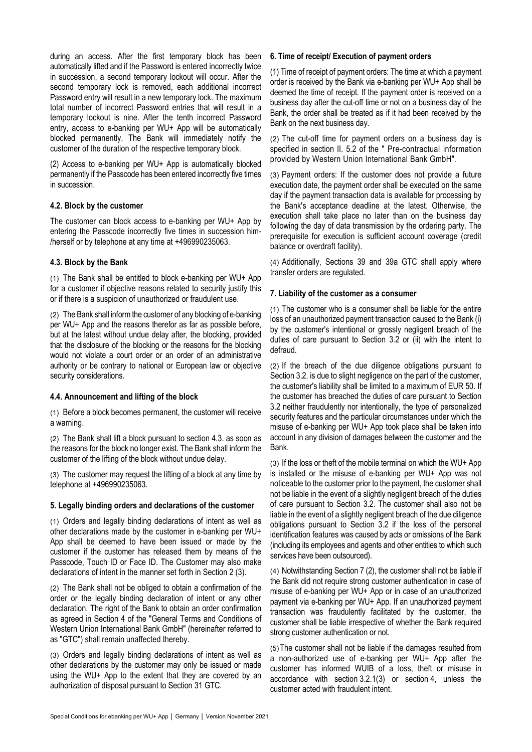during an access. After the first temporary block has been automatically lifted and if the Password is entered incorrectly twice in succession, a second temporary lockout will occur. After the second temporary lock is removed, each additional incorrect Password entry will result in a new temporary lock. The maximum total number of incorrect Password entries that will result in a temporary lockout is nine. After the tenth incorrect Password entry, access to e-banking per WU+ App will be automatically blocked permanently. The Bank will immediately notify the customer of the duration of the respective temporary block.

(2) Access to e-banking per WU+ App is automatically blocked permanently if the Passcode has been entered incorrectly five times in succession.

### **4.2. Block by the customer**

The customer can block access to e-banking per WU+ App by entering the Passcode incorrectly five times in succession him- /herself or by telephone at any time at +496990235063.

## **4.3. Block by the Bank**

(1) The Bank shall be entitled to block e-banking per WU+ App for a customer if objective reasons related to security justify this or if there is a suspicion of unauthorized or fraudulent use.

(2) The Bank shall inform the customer of any blocking of e-banking per WU+ App and the reasons therefor as far as possible before, but at the latest without undue delay after, the blocking, provided that the disclosure of the blocking or the reasons for the blocking would not violate a court order or an order of an administrative authority or be contrary to national or European law or objective security considerations.

# **4.4. Announcement and lifting of the block**

(1) Before a block becomes permanent, the customer will receive a warning.

(2) The Bank shall lift a block pursuant to section 4.3. as soon as the reasons for the block no longer exist. The Bank shall inform the customer of the lifting of the block without undue delay.

(3) The customer may request the lifting of a block at any time by telephone at +496990235063.

### **5. Legally binding orders and declarations of the customer**

(1) Orders and legally binding declarations of intent as well as other declarations made by the customer in e-banking per WU+ App shall be deemed to have been issued or made by the customer if the customer has released them by means of the Passcode, Touch ID or Face ID. The Customer may also make declarations of intent in the manner set forth in Section 2 (3).

(2) The Bank shall not be obliged to obtain a confirmation of the order or the legally binding declaration of intent or any other declaration. The right of the Bank to obtain an order confirmation as agreed in Section 4 of the "General Terms and Conditions of Western Union International Bank GmbH" (hereinafter referred to as "GTC") shall remain unaffected thereby.

(3) Orders and legally binding declarations of intent as well as other declarations by the customer may only be issued or made using the WU+ App to the extent that they are covered by an authorization of disposal pursuant to Section 31 GTC.

### **6. Time of receipt/ Execution of payment orders**

(1) Time of receipt of payment orders: The time at which a payment order is received by the Bank via e-banking per WU+ App shall be deemed the time of receipt. If the payment order is received on a business day after the cut-off time or not on a business day of the Bank, the order shall be treated as if it had been received by the Bank on the next business day.

(2) The cut-off time for payment orders on a business day is specified in section II. 5.2 of the " Pre-contractual information provided by Western Union International Bank GmbH".

(3) Payment orders: If the customer does not provide a future execution date, the payment order shall be executed on the same day if the payment transaction data is available for processing by the Bank's acceptance deadline at the latest. Otherwise, the execution shall take place no later than on the business day following the day of data transmission by the ordering party. The prerequisite for execution is sufficient account coverage (credit balance or overdraft facility).

(4) Additionally, Sections 39 and 39a GTC shall apply where transfer orders are regulated.

## **7. Liability of the customer as a consumer**

(1) The customer who is a consumer shall be liable for the entire loss of an unauthorized payment transaction caused to the Bank (i) by the customer's intentional or grossly negligent breach of the duties of care pursuant to Section 3.2 or (ii) with the intent to defraud.

(2) If the breach of the due diligence obligations pursuant to Section 3.2. is due to slight negligence on the part of the customer, the customer's liability shall be limited to a maximum of EUR 50. If the customer has breached the duties of care pursuant to Section 3.2 neither fraudulently nor intentionally, the type of personalized security features and the particular circumstances under which the misuse of e-banking per WU+ App took place shall be taken into account in any division of damages between the customer and the Bank.

(3) If the loss or theft of the mobile terminal on which the WU+ App is installed or the misuse of e-banking per WU+ App was not noticeable to the customer prior to the payment, the customer shall not be liable in the event of a slightly negligent breach of the duties of care pursuant to Section 3.2. The customer shall also not be liable in the event of a slightly negligent breach of the due diligence obligations pursuant to Section 3.2 if the loss of the personal identification features was caused by acts or omissions of the Bank (including its employees and agents and other entities to which such services have been outsourced).

(4) Notwithstanding Section 7 (2), the customer shall not be liable if the Bank did not require strong customer authentication in case of misuse of e-banking per WU+ App or in case of an unauthorized payment via e-banking per WU+ App. If an unauthorized payment transaction was fraudulently facilitated by the customer, the customer shall be liable irrespective of whether the Bank required strong customer authentication or not.

(5) The customer shall not be liable if the damages resulted from a non-authorized use of e-banking per WU+ App after the customer has informed WUIB of a loss, theft or misuse in accordance with section 3.2.1(3) or section 4, unless the customer acted with fraudulent intent.